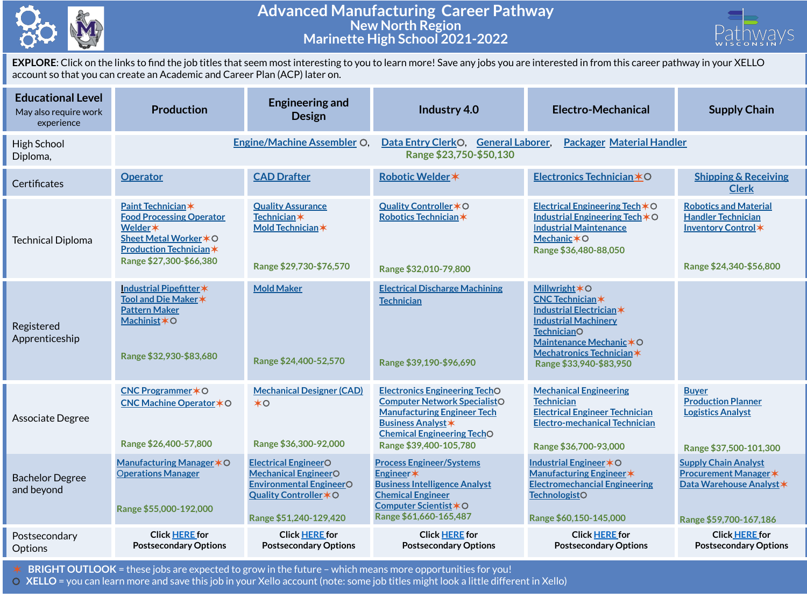

## **Advanced Manufacturing Career Pathway New North Region Marinette High School 2021-2022**



**EXPLORE**: Click on the links to find the job titles that seem most interesting to you to learn more! Save any jobs you are interested in from this career pathway in your XELLO account so that you can create an Academic and Career Plan (ACP) later on.

| <b>Educational Level</b><br>May also require work<br>experience | <b>Production</b>                                                                                                                                      | <b>Engineering and</b><br><b>Design</b>                                                                                                          | Industry 4.0                                                                                                                                                                                                  | <b>Electro-Mechanical</b>                                                                                                                                                                                                     | <b>Supply Chain</b>                                                                                               |  |
|-----------------------------------------------------------------|--------------------------------------------------------------------------------------------------------------------------------------------------------|--------------------------------------------------------------------------------------------------------------------------------------------------|---------------------------------------------------------------------------------------------------------------------------------------------------------------------------------------------------------------|-------------------------------------------------------------------------------------------------------------------------------------------------------------------------------------------------------------------------------|-------------------------------------------------------------------------------------------------------------------|--|
| High School<br>Diploma,                                         |                                                                                                                                                        | <b>Engine/Machine Assembler O.</b>                                                                                                               | Data Entry ClerkO, General Laborer,<br><b>Packager Material Handler</b><br>Range \$23,750-\$50,130                                                                                                            |                                                                                                                                                                                                                               |                                                                                                                   |  |
| Certificates                                                    | <b>Operator</b>                                                                                                                                        | <b>CAD Drafter</b>                                                                                                                               | Robotic Welder *                                                                                                                                                                                              | Electronics Technician *O                                                                                                                                                                                                     | <b>Shipping &amp; Receiving</b><br><b>Clerk</b>                                                                   |  |
| <b>Technical Diploma</b>                                        | Paint Technician*<br><b>Food Processing Operator</b><br>Welder *<br>Sheet Metal Worker * O<br><b>Production Technician*</b><br>Range \$27,300-\$66,380 | <b>Quality Assurance</b><br><b>Technician</b> *<br>Mold Technician *<br>Range \$29,730-\$76,570                                                  | Quality Controller * O<br>Robotics Technician*<br>Range \$32,010-79,800                                                                                                                                       | Electrical Engineering Tech $*$ O<br>Industrial Engineering Tech *O<br><b>Industrial Maintenance</b><br>Mechanic * O<br>Range \$36,480-88,050                                                                                 | <b>Robotics and Material</b><br><b>Handler Technician</b><br>Inventory Control*<br>Range \$24,340-\$56,800        |  |
| Registered<br>Apprenticeship                                    | Industrial Pipefitter*<br>Tool and Die Maker *<br><b>Pattern Maker</b><br>Machinist*O<br>Range \$32,930-\$83,680                                       | <b>Mold Maker</b><br>Range \$24,400-52,570                                                                                                       | <b>Electrical Discharge Machining</b><br><b>Technician</b><br>Range \$39,190-\$96,690                                                                                                                         | <b>Millwright <math>*</math>O</b><br><b>CNC Technician*</b><br>Industrial Electrician *<br><b>Industrial Machinery</b><br><b>TechnicianO</b><br>Maintenance Mechanic*O<br>Mechatronics Technician*<br>Range \$33,940-\$83,950 |                                                                                                                   |  |
| Associate Degree                                                | CNC Programmer * O<br><b>CNC Machine Operator </b> ★ O<br>Range \$26,400-57,800                                                                        | <b>Mechanical Designer (CAD)</b><br>$*$ <sup><math>\circ</math></sup><br>Range \$36,300-92,000                                                   | <b>Electronics Engineering TechO</b><br><b>Computer Network SpecialistO</b><br><b>Manufacturing Engineer Tech</b><br><b>Business Analyst *</b><br><b>Chemical Engineering TechO</b><br>Range \$39,400-105,780 | <b>Mechanical Engineering</b><br><b>Technician</b><br><b>Electrical Engineer Technician</b><br><b>Electro-mechanical Technician</b><br>Range \$36,700-93,000                                                                  | <b>Buyer</b><br><b>Production Planner</b><br><b>Logistics Analyst</b><br>Range \$37,500-101,300                   |  |
| <b>Bachelor Degree</b><br>and beyond                            | Manufacturing Manager * O<br><b>Operations Manager</b><br>Range \$55,000-192,000                                                                       | <b>Electrical EngineerO</b><br><b>Mechanical EngineerO</b><br><b>Environmental EngineerO</b><br>Quality Controller * O<br>Range \$51,240-129,420 | <b>Process Engineer/Systems</b><br>Engineer*<br><b>Business Intelligence Analyst</b><br><b>Chemical Engineer</b><br>Computer Scientist *O<br>Range \$61,660-165,487                                           | <b>Industrial Engineer *O</b><br>Manufacturing Engineer *<br><b>Electromechancial Engineering</b><br><b>TechnologistO</b><br>Range \$60,150-145,000                                                                           | <b>Supply Chain Analyst</b><br><b>Procurement Manager *</b><br>Data Warehouse Analyst *<br>Range \$59,700-167,186 |  |
| Postsecondary<br>Options                                        | <b>Click HERE for</b><br><b>Postsecondary Options</b>                                                                                                  | <b>Click HERE for</b><br><b>Postsecondary Options</b>                                                                                            | <b>Click HERE for</b><br><b>Postsecondary Options</b>                                                                                                                                                         | <b>Click HERE for</b><br><b>Postsecondary Options</b>                                                                                                                                                                         | <b>Click HERE for</b><br><b>Postsecondary Options</b>                                                             |  |

✶ **BRIGHT OUTLOOK** = these jobs are expected to grow in the future – which means more opportunities for you!

⚪ **XELLO** = you can learn more and save this job in your Xello account (note: some job titles might look a little different in Xello)